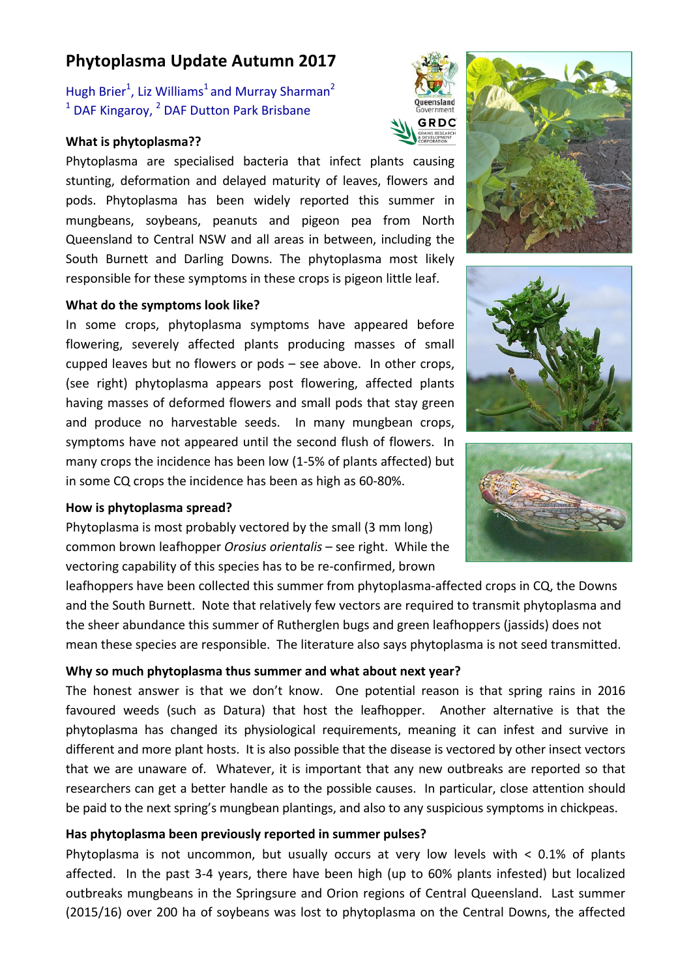# **Phytoplasma Update Autumn 2017**

Hugh Brier<sup>1</sup>, Liz Williams<sup>1</sup> and Murray Sharman<sup>2</sup>  $1$  DAF Kingaroy,  $2$  DAF Dutton Park Brisbane

#### **What is phytoplasma??**

Phytoplasma are specialised bacteria that infect plants causing stunting, deformation and delayed maturity of leaves, flowers and pods. Phytoplasma has been widely reported this summer in mungbeans, soybeans, peanuts and pigeon pea from North Queensland to Central NSW and all areas in between, including the South Burnett and Darling Downs. The phytoplasma most likely responsible for these symptoms in these crops is pigeon little leaf.

#### **What do the symptoms look like?**

In some crops, phytoplasma symptoms have appeared before flowering, severely affected plants producing masses of small cupped leaves but no flowers or pods  $-$  see above. In other crops, (see right) phytoplasma appears post flowering, affected plants having masses of deformed flowers and small pods that stay green and produce no harvestable seeds. In many mungbean crops, symptoms have not appeared until the second flush of flowers. In many crops the incidence has been low  $(1-5\% \text{ of plants affected})$  but in some CQ crops the incidence has been as high as 60-80%.

#### How is phytoplasma spread?

Phytoplasma is most probably vectored by the small (3 mm long) common brown leafhopper *Orosius orientalis* – see right. While the vectoring capability of this species has to be re-confirmed, brown

leafhoppers have been collected this summer from phytoplasma-affected crops in CQ, the Downs and the South Burnett. Note that relatively few vectors are required to transmit phytoplasma and the sheer abundance this summer of Rutherglen bugs and green leafhoppers (jassids) does not mean these species are responsible. The literature also says phytoplasma is not seed transmitted.

#### **Why so much phytoplasma thus summer and what about next year?**

The honest answer is that we don't know. One potential reason is that spring rains in 2016 favoured weeds (such as Datura) that host the leafhopper. Another alternative is that the phytoplasma has changed its physiological requirements, meaning it can infest and survive in different and more plant hosts. It is also possible that the disease is vectored by other insect vectors that we are unaware of. Whatever, it is important that any new outbreaks are reported so that researchers can get a better handle as to the possible causes. In particular, close attention should be paid to the next spring's mungbean plantings, and also to any suspicious symptoms in chickpeas.

#### Has phytoplasma been previously reported in summer pulses?

Phytoplasma is not uncommon, but usually occurs at very low levels with  $\lt$  0.1% of plants affected. In the past 3-4 years, there have been high (up to 60% plants infested) but localized outbreaks mungbeans in the Springsure and Orion regions of Central Queensland. Last summer (2015/16) over 200 ha of soybeans was lost to phytoplasma on the Central Downs, the affected